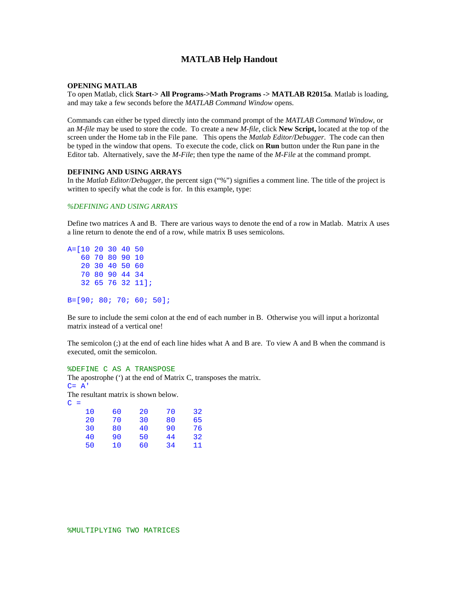# **MATLAB Help Handout**

## **OPENING MATLAB**

To open Matlab, click **Start-> All Programs->Math Programs -> MATLAB R2015a**. Matlab is loading, and may take a few seconds before the *MATLAB Command Window* opens.

Commands can either be typed directly into the command prompt of the *MATLAB Command Window,* or an *M-file* may be used to store the code. To create a new *M-file*, click **New Script,** located at the top of the screen under the Home tab in the File pane. This opens the *Matlab Editor/Debugger*. The code can then be typed in the window that opens. To execute the code, click on **Run** button under the Run pane in the Editor tab. Alternatively, save the *M-File*; then type the name of the *M-File* at the command prompt.

### **DEFINING AND USING ARRAYS**

In the *Matlab Editor/Debugger*, the percent sign ("%") signifies a comment line. The title of the project is written to specify what the code is for. In this example, type:

# *%DEFINING AND USING ARRAYS*

Define two matrices A and B. There are various ways to denote the end of a row in Matlab. Matrix A uses a line return to denote the end of a row, while matrix B uses semicolons.

```
A=[10 20 30 40 50
    60 70 80 90 10
    20 30 40 50 60
    70 80 90 44 34
   32 65 76 32 11];
```
B=[90; 80; 70; 60; 50];

Be sure to include the semi colon at the end of each number in B. Otherwise you will input a horizontal matrix instead of a vertical one!

The semicolon (;) at the end of each line hides what A and B are. To view A and B when the command is executed, omit the semicolon.

#### %DEFINE C AS A TRANSPOSE

The apostrophe (') at the end of Matrix C, transposes the matrix.  $C= A'$ The resultant matrix is shown below.

 $C =$ 

| 10 | 60 | 20 | 70 | 32 |
|----|----|----|----|----|
| 20 | 70 | 30 | 80 | 65 |
| 30 | 80 | 40 | 90 | 76 |
| 40 | 90 | 50 | 44 | 32 |
| 50 | 10 | 60 | 34 | 11 |
|    |    |    |    |    |

%MULTIPLYING TWO MATRICES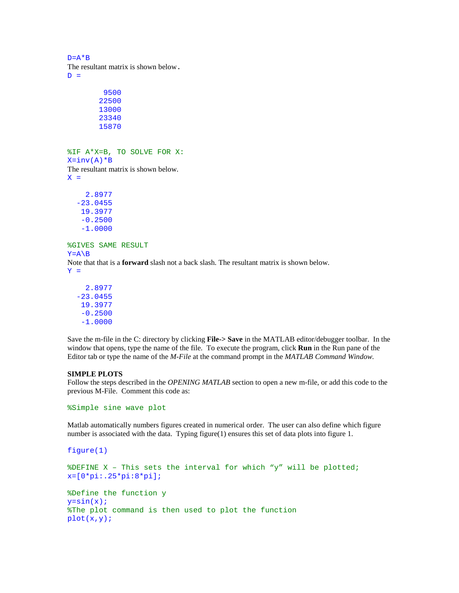$D = A * B$ The resultant matrix is shown below.  $D =$ 

%IF A\*X=B, TO SOLVE FOR X:  $X=inv(A)*B$ The resultant matrix is shown below.  $X =$ 

 2.8977 -23.0455 19.3977 -0.2500 -1.0000

%GIVES SAME RESULT

 $Y = A \ B$ 

Note that that is a **forward** slash not a back slash. The resultant matrix is shown below.  $Y =$ 

 2.8977 -23.0455 19.3977 -0.2500 -1.0000

Save the m-file in the C: directory by clicking **File-> Save** in the MATLAB editor/debugger toolbar. In the window that opens, type the name of the file. To execute the program, click **Run** in the Run pane of the Editor tab or type the name of the *M-File* at the command prompt in the *MATLAB Command Window.*

## **SIMPLE PLOTS**

Follow the steps described in the *OPENING MATLAB* section to open a new m-file, or add this code to the previous M-File. Comment this code as:

%Simple sine wave plot

Matlab automatically numbers figures created in numerical order. The user can also define which figure number is associated with the data. Typing figure(1) ensures this set of data plots into figure 1.

```
figure(1)
%DEFINE X – This sets the interval for which "y" will be plotted;
x=[0*pi:.25*pi:8*pi];
%Define the function y
y=sin(x);%The plot command is then used to plot the function
plot(x,y);
```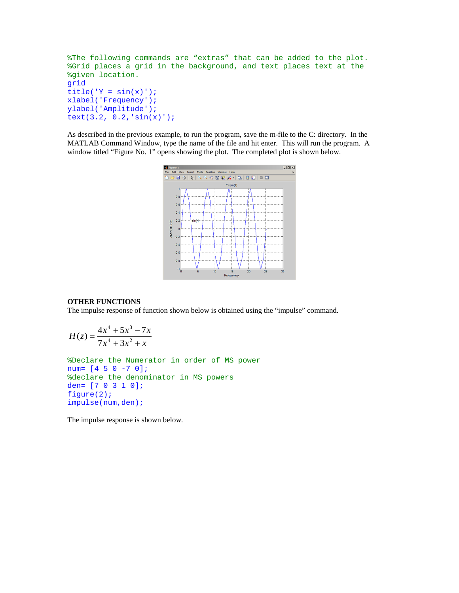```
%The following commands are "extras" that can be added to the plot. 
%Grid places a grid in the background, and text places text at the 
%given location.
grid
title('Y = sin(x)');
xlabel('Frequency');
ylabel('Amplitude');
text(3.2, 0.2,'sin(x)');
```
As described in the previous example, to run the program, save the m-file to the C: directory. In the MATLAB Command Window, type the name of the file and hit enter. This will run the program. A window titled "Figure No. 1" opens showing the plot. The completed plot is shown below.



### **OTHER FUNCTIONS**

The impulse response of function shown below is obtained using the "impulse" command.

$$
H(z) = \frac{4x^4 + 5x^3 - 7x}{7x^4 + 3x^2 + x}
$$

%Declare the Numerator in order of MS power num= [4 5 0 -7 0]; %declare the denominator in MS powers den= [7 0 3 1 0]; figure(2); impulse(num,den);

The impulse response is shown below.